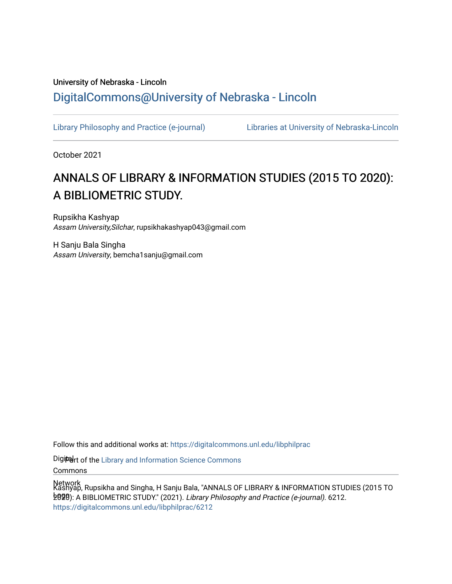## University of Nebraska - Lincoln [DigitalCommons@University of Nebraska - Lincoln](https://digitalcommons.unl.edu/)

[Library Philosophy and Practice \(e-journal\)](https://digitalcommons.unl.edu/libphilprac) [Libraries at University of Nebraska-Lincoln](https://digitalcommons.unl.edu/libraries) 

October 2021

# ANNALS OF LIBRARY & INFORMATION STUDIES (2015 TO 2020): A BIBLIOMETRIC STUDY.

Rupsikha Kashyap Assam University,Silchar, rupsikhakashyap043@gmail.com

H Sanju Bala Singha Assam University, bemcha1sanju@gmail.com

Follow this and additional works at: [https://digitalcommons.unl.edu/libphilprac](https://digitalcommons.unl.edu/libphilprac?utm_source=digitalcommons.unl.edu%2Flibphilprac%2F6212&utm_medium=PDF&utm_campaign=PDFCoverPages) 

Digiter of the Library and Information Science Commons

Commons

Network Kashyap, Rupsikha and Singha, H Sanju Bala, "ANNALS OF LIBRARY & INFORMATION STUDIES (2015 TO 2020): A BIBLIOMETRIC STUDY." (2021). Library Philosophy and Practice (e-journal). 6212. [https://digitalcommons.unl.edu/libphilprac/6212](https://digitalcommons.unl.edu/libphilprac/6212?utm_source=digitalcommons.unl.edu%2Flibphilprac%2F6212&utm_medium=PDF&utm_campaign=PDFCoverPages)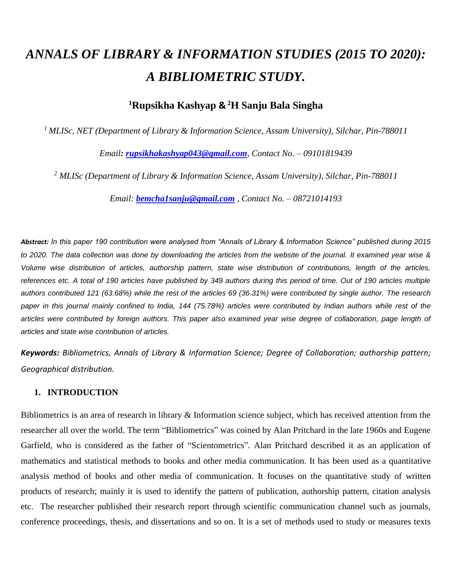# *ANNALS OF LIBRARY & INFORMATION STUDIES (2015 TO 2020): A BIBLIOMETRIC STUDY.*

### **<sup>1</sup>Rupsikha Kashyap & <sup>2</sup>H Sanju Bala Singha**

*<sup>1</sup>MLISc, NET (Department of Library & Information Science, Assam University), Silchar, Pin-788011*

*Email: [rupsikhakashyap043@gmail.com](mailto:rupsikhakashyap043@gmail.com), Contact No. – 09101819439*

*<sup>2</sup> MLISc (Department of Library & Information Science, Assam University), Silchar, Pin-788011*

*Email: [bemcha1sanju@gmail.com](mailto:bemcha1sanju@gmail.com) , Contact No. – 08721014193*

*Abstract: In this paper 190 contribution were analysed from "Annals of Library & Information Science" published during 2015*  to 2020. The data collection was done by downloading the articles from the website of the journal. It examined year wise & *Volume wise distribution of articles, authorship pattern, state wise distribution of contributions, length of the articles, references etc. A total of 190 articles have published by 349 authors during this period of time. Out of 190 articles multiple authors contributed 121 (63.68%) while the rest of the articles 69 (36.31%) were contributed by single author. The research paper in this journal mainly confined to India, 144 (75.78%) articles were contributed by Indian authors while rest of the articles were contributed by foreign authors. This paper also examined year wise degree of collaboration, page length of articles and state wise contribution of articles.*

*Keywords: Bibliometrics, Annals of Library & Information Science; Degree of Collaboration; authorship pattern; Geographical distribution.*

#### **1. INTRODUCTION**

Bibliometrics is an area of research in library & Information science subject, which has received attention from the researcher all over the world. The term "Bibliometrics" was coined by Alan Pritchard in the late 1960s and Eugene Garfield, who is considered as the father of "Scientometrics"*.* Alan Pritchard described it as an application of mathematics and statistical methods to books and other media communication. It has been used as a quantitative analysis method of books and other media of communication. It focuses on the quantitative study of written products of research; mainly it is used to identify the pattern of publication, authorship pattern, citation analysis etc. The researcher published their research report through scientific communication channel such as journals, conference proceedings, thesis, and dissertations and so on. It is a set of methods used to study or measures texts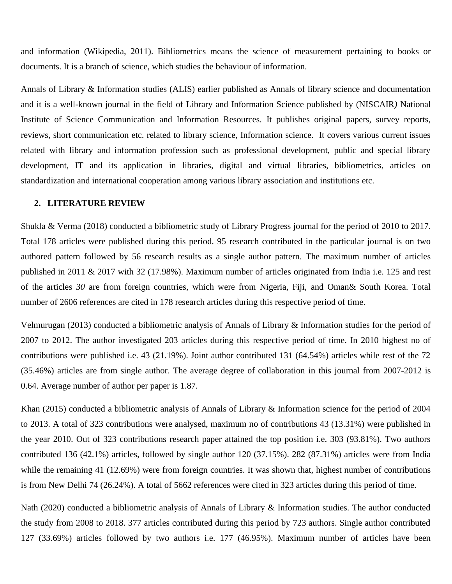and information (Wikipedia, 2011). Bibliometrics means the science of measurement pertaining to books or documents. It is a branch of science, which studies the behaviour of information.

Annals of Library & Information studies (ALIS) earlier published as Annals of library science and documentation and it is a well-known journal in the field of Library and Information Science published by (NISCAIR*)* National Institute of Science Communication and Information Resources*.* It publishes original papers, survey reports, reviews, short communication etc. related to library science, Information science. It covers various current issues related with library and information profession such as professional development, public and special library development, IT and its application in libraries, digital and virtual libraries, bibliometrics, articles on standardization and international cooperation among various library association and institutions etc.

#### **2. LITERATURE REVIEW**

Shukla & Verma (2018) conducted a bibliometric study of Library Progress journal for the period of 2010 to 2017. Total 178 articles were published during this period. 95 research contributed in the particular journal is on two authored pattern followed by 56 research results as a single author pattern. The maximum number of articles published in 2011 & 2017 with 32 (17.98%). Maximum number of articles originated from India i.e. 125 and rest of the articles *30* are from foreign countries, which were from Nigeria, Fiji, and Oman& South Korea. Total number of 2606 references are cited in 178 research articles during this respective period of time.

Velmurugan (2013) conducted a bibliometric analysis of Annals of Library & Information studies for the period of 2007 to 2012. The author investigated 203 articles during this respective period of time. In 2010 highest no of contributions were published i.e. 43 (21.19%). Joint author contributed 131 (64.54%) articles while rest of the 72 (35.46%) articles are from single author. The average degree of collaboration in this journal from 2007-2012 is 0.64. Average number of author per paper is 1.87.

Khan (2015) conducted a bibliometric analysis of Annals of Library & Information science for the period of 2004 to 2013. A total of 323 contributions were analysed, maximum no of contributions 43 (13.31%) were published in the year 2010. Out of 323 contributions research paper attained the top position i.e. 303 (93.81%). Two authors contributed 136 (42.1%) articles, followed by single author 120 (37.15%). 282 (87.31%) articles were from India while the remaining 41 (12.69%) were from foreign countries. It was shown that, highest number of contributions is from New Delhi 74 (26.24%). A total of 5662 references were cited in 323 articles during this period of time.

Nath (2020) conducted a bibliometric analysis of Annals of Library & Information studies. The author conducted the study from 2008 to 2018. 377 articles contributed during this period by 723 authors. Single author contributed 127 (33.69%) articles followed by two authors i.e. 177 (46.95%). Maximum number of articles have been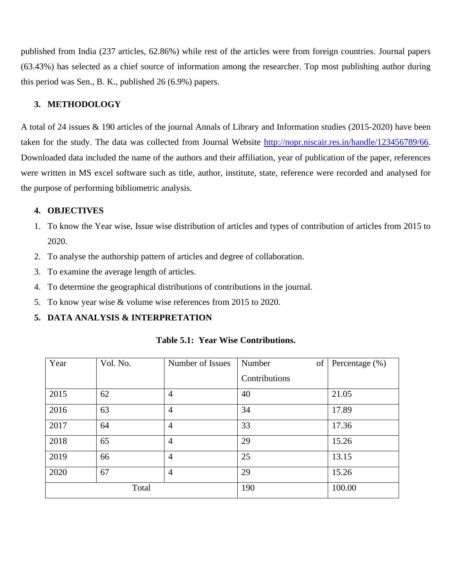published from India (237 articles, 62.86%) while rest of the articles were from foreign countries. Journal papers (63.43%) has selected as a chief source of information among the researcher. Top most publishing author during this period was Sen., B. K., published 26 (6.9%) papers.

#### **3. METHODOLOGY**

A total of 24 issues & 190 articles of the journal Annals of Library and Information studies (2015-2020) have been taken for the study. The data was collected from Journal Website [http://nopr.niscair.res.in/handle/123456789/66.](http://nopr.niscair.res.in/handle/123456789/66) Downloaded data included the name of the authors and their affiliation, year of publication of the paper, references were written in MS excel software such as title, author, institute, state, reference were recorded and analysed for the purpose of performing bibliometric analysis.

#### **4. OBJECTIVES**

- 1. To know the Year wise, Issue wise distribution of articles and types of contribution of articles from 2015 to 2020.
- 2. To analyse the authorship pattern of articles and degree of collaboration.
- 3. To examine the average length of articles.
- 4. To determine the geographical distributions of contributions in the journal.
- 5. To know year wise & volume wise references from 2015 to 2020.

#### **5. DATA ANALYSIS & INTERPRETATION**

| Year | Vol. No. | Number of Issues | of<br>Number  | Percentage (%) |
|------|----------|------------------|---------------|----------------|
|      |          |                  | Contributions |                |
| 2015 | 62       | $\overline{4}$   | 40            | 21.05          |
| 2016 | 63       | $\overline{4}$   | 34            | 17.89          |
| 2017 | 64       | $\overline{4}$   | 33            | 17.36          |
| 2018 | 65       | $\overline{4}$   | 29            | 15.26          |
| 2019 | 66       | 4                | 25            | 13.15          |
| 2020 | 67       | $\overline{4}$   | 29            | 15.26          |
|      | Total    |                  | 190           | 100.00         |

**Table 5.1: Year Wise Contributions.**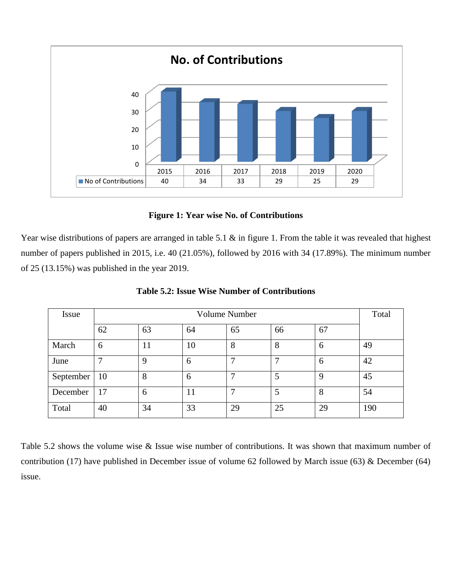

**Figure 1: Year wise No. of Contributions**

Year wise distributions of papers are arranged in table 5.1 & in figure 1. From the table it was revealed that highest number of papers published in 2015, i.e. 40 (21.05%), followed by 2016 with 34 (17.89%). The minimum number of 25 (13.15%) was published in the year 2019.

| <b>Issue</b> |    | Volume Number |    |    |    |             |     |  |  |  |
|--------------|----|---------------|----|----|----|-------------|-----|--|--|--|
|              | 62 | 63            | 64 | 65 | 66 | 67          |     |  |  |  |
| March        | 6  | 11            | 10 | 8  | 8  | 6           | 49  |  |  |  |
| June         |    | 9             | 6  |    | ⇁  | 6           | 42  |  |  |  |
| September    | 10 | 8             | 6  |    | 5  | $\mathbf Q$ | 45  |  |  |  |
| December     | 17 | 6             | 11 |    | 5  | 8           | 54  |  |  |  |
| Total        | 40 | 34            | 33 | 29 | 25 | 29          | 190 |  |  |  |

**Table 5.2: Issue Wise Number of Contributions**

Table 5.2 shows the volume wise & Issue wise number of contributions. It was shown that maximum number of contribution (17) have published in December issue of volume 62 followed by March issue (63) & December (64) issue.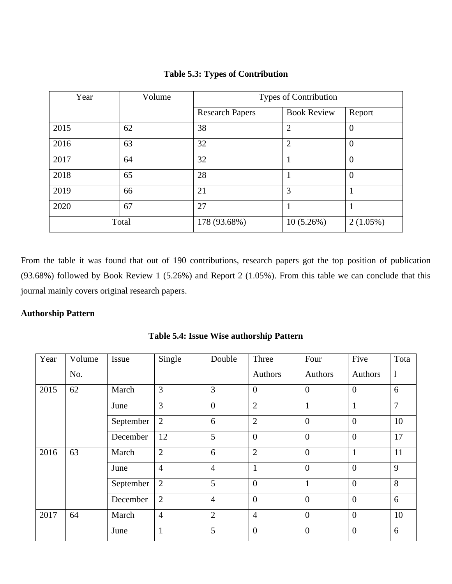| Year | Volume | Types of Contribution  |                    |                |  |
|------|--------|------------------------|--------------------|----------------|--|
|      |        | <b>Research Papers</b> | <b>Book Review</b> | Report         |  |
| 2015 | 62     | 38                     | $\overline{2}$     | $\overline{0}$ |  |
| 2016 | 63     | 32                     | $\overline{2}$     | $\overline{0}$ |  |
| 2017 | 64     | 32                     |                    | $\overline{0}$ |  |
| 2018 | 65     | 28                     |                    | 0              |  |
| 2019 | 66     | 21                     | 3                  | 1              |  |
| 2020 | 67     | 27                     |                    |                |  |
|      | Total  | 178 (93.68%)           | 10(5.26%)          | $2(1.05\%)$    |  |

**Table 5.3: Types of Contribution**

From the table it was found that out of 190 contributions, research papers got the top position of publication (93.68%) followed by Book Review 1 (5.26%) and Report 2 (1.05%). From this table we can conclude that this journal mainly covers original research papers.

#### **Authorship Pattern**

| Year | Volume | Issue     | Single         | Double           | Three            | Four           | Five           | Tota           |
|------|--------|-----------|----------------|------------------|------------------|----------------|----------------|----------------|
|      | No.    |           |                |                  | Authors          | Authors        | Authors        | -1             |
| 2015 | 62     | March     | 3              | 3                | $\overline{0}$   | $\overline{0}$ | $\overline{0}$ | 6              |
|      |        | June      | 3              | $\boldsymbol{0}$ | $\overline{2}$   | $\mathbf{1}$   | $\mathbf{1}$   | $\overline{7}$ |
|      |        | September | $\overline{2}$ | 6                | $\overline{2}$   | $\overline{0}$ | $\theta$       | 10             |
|      |        | December  | 12             | 5                | $\overline{0}$   | $\overline{0}$ | $\theta$       | 17             |
| 2016 | 63     | March     | $\overline{2}$ | 6                | $\overline{2}$   | $\overline{0}$ | $\mathbf{1}$   | 11             |
|      |        | June      | $\overline{4}$ | $\overline{4}$   | $\mathbf{1}$     | $\overline{0}$ | $\overline{0}$ | 9              |
|      |        | September | 2              | 5                | $\boldsymbol{0}$ | $\mathbf{1}$   | $\Omega$       | 8              |
|      |        | December  | $\overline{2}$ | $\overline{4}$   | $\theta$         | $\theta$       | $\Omega$       | 6              |
| 2017 | 64     | March     | $\overline{4}$ | $\overline{2}$   | $\overline{4}$   | $\theta$       | $\overline{0}$ | 10             |
|      |        | June      | $\mathbf{1}$   | 5                | $\boldsymbol{0}$ | $\overline{0}$ | $\overline{0}$ | 6              |

**Table 5.4: Issue Wise authorship Pattern**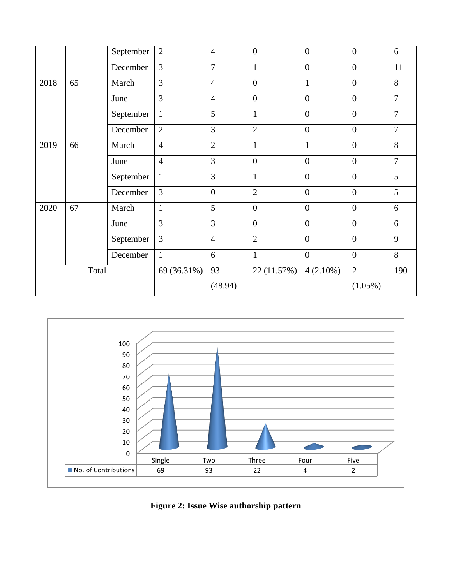|      |       | September | $\overline{2}$ | $\overline{4}$ | $\overline{0}$ | $\overline{0}$ | $\overline{0}$ | 6              |
|------|-------|-----------|----------------|----------------|----------------|----------------|----------------|----------------|
|      |       | December  | 3              | $\overline{7}$ | $\mathbf{1}$   | $\mathbf{0}$   | $\overline{0}$ | 11             |
| 2018 | 65    | March     | 3              | $\overline{4}$ | $\overline{0}$ | $\mathbf{1}$   | $\theta$       | 8              |
|      |       | June      | $\overline{3}$ | $\overline{4}$ | $\overline{0}$ | $\mathbf{0}$   | $\overline{0}$ | $\overline{7}$ |
|      |       | September | $\mathbf{1}$   | 5              | $\mathbf{1}$   | $\theta$       | $\overline{0}$ | $\overline{7}$ |
|      |       | December  | $\overline{2}$ | 3              | $\overline{2}$ | $\overline{0}$ | $\overline{0}$ | 7              |
| 2019 | 66    | March     | $\overline{4}$ | $\overline{2}$ | $\mathbf{1}$   | $\mathbf{1}$   | $\overline{0}$ | 8              |
|      |       | June      | $\overline{4}$ | 3              | $\overline{0}$ | $\overline{0}$ | $\overline{0}$ | $\overline{7}$ |
|      |       | September | $\mathbf{1}$   | 3              | $\mathbf{1}$   | $\overline{0}$ | $\overline{0}$ | 5              |
|      |       | December  | $\overline{3}$ | $\mathbf{0}$   | $\overline{2}$ | $\mathbf{0}$   | $\overline{0}$ | 5              |
| 2020 | 67    | March     | $\mathbf{1}$   | 5              | $\overline{0}$ | $\overline{0}$ | $\overline{0}$ | 6              |
|      |       | June      | $\overline{3}$ | 3              | $\overline{0}$ | $\overline{0}$ | $\overline{0}$ | 6              |
|      |       | September | 3              | $\overline{4}$ | $\overline{2}$ | $\mathbf{0}$   | $\overline{0}$ | 9              |
|      |       | December  | $\mathbf{1}$   | 6              | $\mathbf{1}$   | $\overline{0}$ | $\overline{0}$ | 8              |
|      | Total |           | 69 (36.31%)    | 93             | 22 (11.57%)    | $4(2.10\%)$    | $\overline{2}$ | 190            |
|      |       |           |                | (48.94)        |                |                | $(1.05\%)$     |                |



**Figure 2: Issue Wise authorship pattern**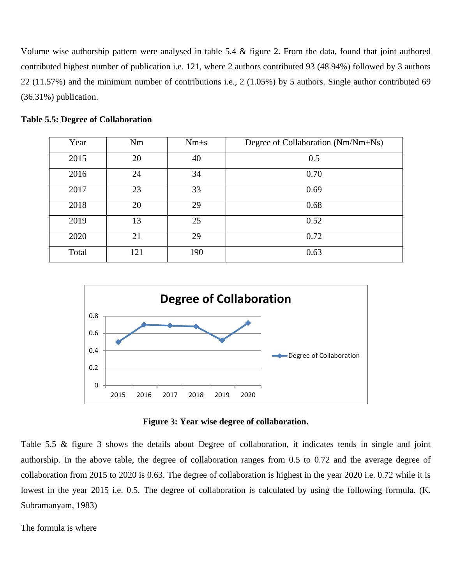Volume wise authorship pattern were analysed in table 5.4 & figure 2. From the data, found that joint authored contributed highest number of publication i.e. 121, where 2 authors contributed 93 (48.94%) followed by 3 authors 22 (11.57%) and the minimum number of contributions i.e., 2 (1.05%) by 5 authors. Single author contributed 69 (36.31%) publication.

| Year  | Nm  | $Nm+s$ | Degree of Collaboration (Nm/Nm+Ns) |
|-------|-----|--------|------------------------------------|
| 2015  | 20  | 40     | 0.5                                |
| 2016  | 24  | 34     | 0.70                               |
| 2017  | 23  | 33     | 0.69                               |
| 2018  | 20  | 29     | 0.68                               |
| 2019  | 13  | 25     | 0.52                               |
| 2020  | 21  | 29     | 0.72                               |
| Total | 121 | 190    | 0.63                               |

**Table 5.5: Degree of Collaboration**



**Figure 3: Year wise degree of collaboration.**

Table 5.5 & figure 3 shows the details about Degree of collaboration, it indicates tends in single and joint authorship. In the above table, the degree of collaboration ranges from 0.5 to 0.72 and the average degree of collaboration from 2015 to 2020 is 0.63. The degree of collaboration is highest in the year 2020 i.e. 0.72 while it is lowest in the year 2015 i.e. 0.5. The degree of collaboration is calculated by using the following formula. (K. Subramanyam, 1983)

The formula is where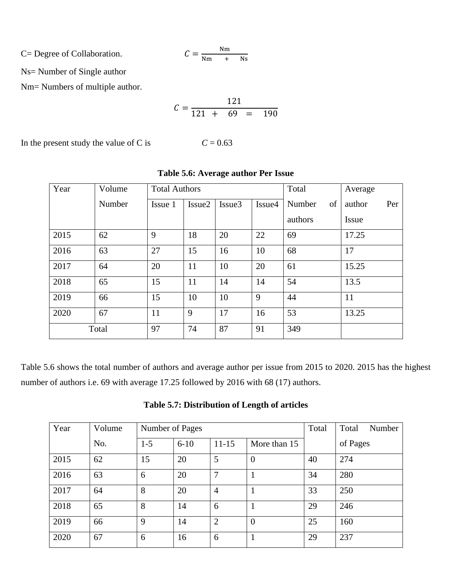C= Degree of Collaboration.

$$
C = \frac{\text{Nm}}{\text{Nm} + \text{Ns}}
$$

Ns= Number of Single author

Nm= Numbers of multiple author.

$$
C = \frac{121}{121 + 69} = 190
$$

In the present study the value of C is  $C = 0.63$ 

| Year | Volume | <b>Total Authors</b> |                    |                    |        | Total        | Average       |
|------|--------|----------------------|--------------------|--------------------|--------|--------------|---------------|
|      | Number | Issue 1              | Issue <sub>2</sub> | Issue <sub>3</sub> | Issue4 | Number<br>of | Per<br>author |
|      |        |                      |                    |                    |        | authors      | <b>Issue</b>  |
| 2015 | 62     | 9                    | 18                 | 20                 | 22     | 69           | 17.25         |
| 2016 | 63     | 27                   | 15                 | 16                 | 10     | 68           | 17            |
| 2017 | 64     | 20                   | 11                 | 10                 | 20     | 61           | 15.25         |
| 2018 | 65     | 15                   | 11                 | 14                 | 14     | 54           | 13.5          |
| 2019 | 66     | 15                   | 10                 | 10                 | 9      | 44           | 11            |
| 2020 | 67     | 11                   | 9                  | 17                 | 16     | 53           | 13.25         |
|      | Total  | 97                   | 74                 | 87                 | 91     | 349          |               |

#### **Table 5.6: Average author Per Issue**

Table 5.6 shows the total number of authors and average author per issue from 2015 to 2020. 2015 has the highest number of authors i.e. 69 with average 17.25 followed by 2016 with 68 (17) authors.

| Year | Volume | Number of Pages |          | Total          | Total<br>Number |    |          |
|------|--------|-----------------|----------|----------------|-----------------|----|----------|
|      | No.    | $1 - 5$         | $6 - 10$ | $11 - 15$      | More than 15    |    | of Pages |
| 2015 | 62     | 15              | 20       | 5              | $\overline{0}$  | 40 | 274      |
| 2016 | 63     | 6               | 20       | 7              |                 | 34 | 280      |
| 2017 | 64     | 8               | 20       | $\overline{4}$ |                 | 33 | 250      |
| 2018 | 65     | 8               | 14       | 6              |                 | 29 | 246      |
| 2019 | 66     | 9               | 14       | $\overline{2}$ | $\overline{0}$  | 25 | 160      |
| 2020 | 67     | 6               | 16       | 6              |                 | 29 | 237      |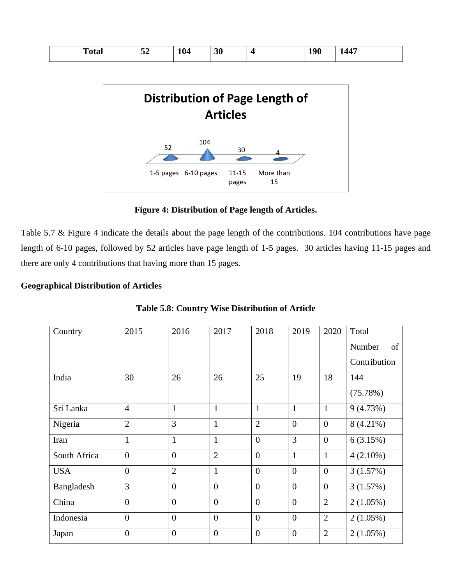| <b>Distribution of Page Length of</b><br><b>Articles</b> |  |
|----------------------------------------------------------|--|
|                                                          |  |
|                                                          |  |
|                                                          |  |
| 104<br>52<br>30                                          |  |

#### **Figure 4: Distribution of Page length of Articles.**

pages

15

Table 5.7 & Figure 4 indicate the details about the page length of the contributions. 104 contributions have page length of 6-10 pages, followed by 52 articles have page length of 1-5 pages. 30 articles having 11-15 pages and there are only 4 contributions that having more than 15 pages.

#### **Geographical Distribution of Articles**

| Country      | 2015           | 2016           | 2017           | 2018           | 2019           | 2020           | Total        |
|--------------|----------------|----------------|----------------|----------------|----------------|----------------|--------------|
|              |                |                |                |                |                |                | Number<br>of |
|              |                |                |                |                |                |                | Contribution |
| India        | 30             | 26             | 26             | 25             | 19             | 18             | 144          |
|              |                |                |                |                |                |                | (75.78%)     |
| Sri Lanka    | $\overline{4}$ | $\mathbf{1}$   | $\mathbf{1}$   | $\mathbf{1}$   | $\mathbf{1}$   | $\mathbf{1}$   | 9(4.73%)     |
| Nigeria      | $\overline{2}$ | 3              | $\mathbf{1}$   | $\overline{2}$ | $\overline{0}$ | $\overline{0}$ | $8(4.21\%)$  |
| Iran         | $\mathbf{1}$   | $\mathbf{1}$   | $\mathbf{1}$   | $\overline{0}$ | 3              | $\overline{0}$ | 6(3.15%)     |
| South Africa | $\overline{0}$ | $\overline{0}$ | $\overline{2}$ | $\overline{0}$ | $\mathbf{1}$   | $\mathbf{1}$   | $4(2.10\%)$  |
| <b>USA</b>   | $\overline{0}$ | $\overline{2}$ | 1              | $\overline{0}$ | $\overline{0}$ | $\overline{0}$ | 3(1.57%)     |
| Bangladesh   | 3              | $\overline{0}$ | $\overline{0}$ | $\overline{0}$ | $\overline{0}$ | $\overline{0}$ | 3(1.57%)     |
| China        | $\overline{0}$ | $\overline{0}$ | $\overline{0}$ | $\overline{0}$ | $\overline{0}$ | $\overline{2}$ | $2(1.05\%)$  |
| Indonesia    | $\overline{0}$ | $\overline{0}$ | $\overline{0}$ | $\overline{0}$ | $\mathbf{0}$   | $\overline{2}$ | $2(1.05\%)$  |
| Japan        | $\overline{0}$ | $\overline{0}$ | $\overline{0}$ | $\overline{0}$ | $\mathbf{0}$   | $\overline{2}$ | $2(1.05\%)$  |

**Table 5.8: Country Wise Distribution of Article**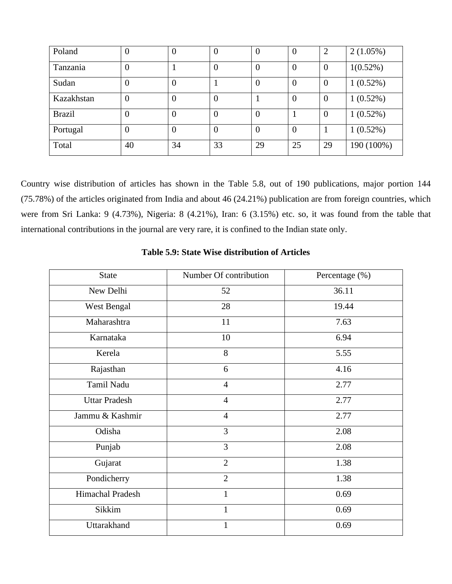| Poland        | U              | 0                | $\left($       | O  |                | $\overline{2}$   | $2(1.05\%)$ |
|---------------|----------------|------------------|----------------|----|----------------|------------------|-------------|
| Tanzania      | $\overline{0}$ |                  | $\overline{0}$ | 0  | U              | $\boldsymbol{0}$ | $1(0.52\%)$ |
| Sudan         | 0              | $\boldsymbol{0}$ |                | 0  | $\theta$       | $\overline{0}$   | $1(0.52\%)$ |
| Kazakhstan    | 0              | $\boldsymbol{0}$ | $\theta$       |    |                | $\boldsymbol{0}$ | 1(0.52%)    |
| <b>Brazil</b> | 0              | $\overline{0}$   | $\overline{0}$ | 0  |                | $\boldsymbol{0}$ | $1(0.52\%)$ |
| Portugal      | $\overline{0}$ | $\overline{0}$   | $\overline{0}$ | 0  | $\overline{0}$ |                  | 1(0.52%)    |
| Total         | 40             | 34               | 33             | 29 | 25             | 29               | 190 (100%)  |

Country wise distribution of articles has shown in the Table 5.8, out of 190 publications, major portion 144 (75.78%) of the articles originated from India and about 46 (24.21%) publication are from foreign countries, which were from Sri Lanka: 9 (4.73%), Nigeria: 8 (4.21%), Iran: 6 (3.15%) etc. so, it was found from the table that international contributions in the journal are very rare, it is confined to the Indian state only.

| <b>State</b>         | Number Of contribution | Percentage (%) |  |  |  |
|----------------------|------------------------|----------------|--|--|--|
| New Delhi            | 52                     | 36.11          |  |  |  |
| West Bengal          | 28                     | 19.44          |  |  |  |
| Maharashtra          | 11                     | 7.63           |  |  |  |
| Karnataka            | 10                     | 6.94           |  |  |  |
| Kerela               | 8                      | 5.55           |  |  |  |
| Rajasthan            | 6                      | 4.16           |  |  |  |
| Tamil Nadu           | $\overline{4}$         | 2.77           |  |  |  |
| <b>Uttar Pradesh</b> | $\overline{4}$         | 2.77           |  |  |  |
| Jammu & Kashmir      | $\overline{4}$         | 2.77           |  |  |  |
| Odisha               | 3                      | 2.08           |  |  |  |
| Punjab               | $\overline{3}$         | 2.08           |  |  |  |
| Gujarat              | $\overline{2}$         | 1.38           |  |  |  |
| Pondicherry          | $\overline{2}$         | 1.38           |  |  |  |
| Himachal Pradesh     | $\mathbf{1}$           | 0.69           |  |  |  |
| Sikkim               | $\mathbf{1}$           | 0.69           |  |  |  |
| Uttarakhand          | 1                      | 0.69           |  |  |  |

#### **Table 5.9: State Wise distribution of Articles**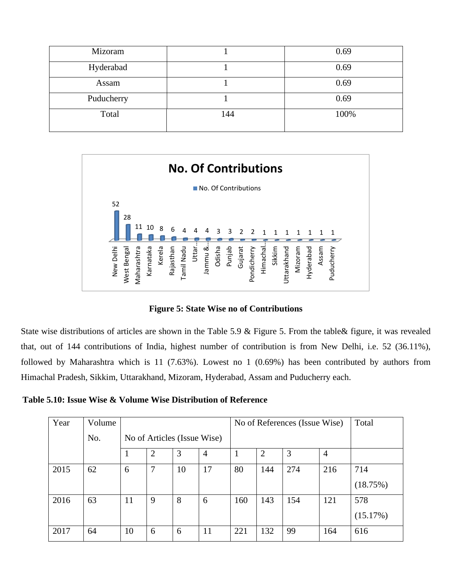| Mizoram    |     | 0.69 |
|------------|-----|------|
| Hyderabad  |     | 0.69 |
| Assam      |     | 0.69 |
| Puducherry |     | 0.69 |
| Total      | 144 | 100% |



**Figure 5: State Wise no of Contributions**

State wise distributions of articles are shown in the Table 5.9 & Figure 5. From the table& figure, it was revealed that, out of 144 contributions of India, highest number of contribution is from New Delhi, i.e. 52 (36.11%), followed by Maharashtra which is 11 (7.63%). Lowest no 1 (0.69%) has been contributed by authors from Himachal Pradesh, Sikkim, Uttarakhand, Mizoram, Hyderabad, Assam and Puducherry each.

**Table 5.10: Issue Wise & Volume Wise Distribution of Reference**

|                                                                                                | New Delhi | West Bengal<br>Maharashtra  | Karnataka<br>Kerela | amil Nadu<br>Rajasthan | Jammu &<br>Uttar<br>Odisha                      | Gujarat<br>Punjab<br>Pondicherry | Himachal.<br>Sikkim | Mizoram<br>Uttarakhand<br>Hyderabad | Assam<br>Puducherry |                                                                                                      |
|------------------------------------------------------------------------------------------------|-----------|-----------------------------|---------------------|------------------------|-------------------------------------------------|----------------------------------|---------------------|-------------------------------------|---------------------|------------------------------------------------------------------------------------------------------|
|                                                                                                |           |                             |                     |                        | <b>Figure 5: State Wise no of Contributions</b> |                                  |                     |                                     |                     |                                                                                                      |
|                                                                                                |           |                             |                     |                        |                                                 |                                  |                     |                                     |                     | ise distributions of articles are shown in the Table 5.9 & Figure 5. From the table & figure, it was |
| at of 144 contributions of India, highest number of contribution is from New Delhi, i.e. 52 (3 |           |                             |                     |                        |                                                 |                                  |                     |                                     |                     |                                                                                                      |
| d by Maharashtra which is 11 (7.63%). Lowest no 1 (0.69%) has been contributed by author-      |           |                             |                     |                        |                                                 |                                  |                     |                                     |                     |                                                                                                      |
| ial Pradesh, Sikkim, Uttarakhand, Mizoram, Hyderabad, Assam and Puducherry each.               |           |                             |                     |                        |                                                 |                                  |                     |                                     |                     |                                                                                                      |
| 5.10: Issue Wise & Volume Wise Distribution of Reference                                       |           |                             |                     |                        |                                                 |                                  |                     |                                     |                     |                                                                                                      |
| Year<br>Volume                                                                                 |           |                             |                     |                        | No of References (Issue Wise)                   |                                  |                     |                                     | Total               |                                                                                                      |
|                                                                                                | No.       | No of Articles (Issue Wise) |                     |                        |                                                 |                                  |                     |                                     |                     |                                                                                                      |
|                                                                                                |           | $\mathbf{1}$                | $\overline{2}$      | 3                      | $\overline{4}$                                  | $\mathbf{1}$                     | $\overline{2}$      | 3                                   | $\overline{4}$      |                                                                                                      |
| 2015                                                                                           | 62        | 6                           | $\overline{7}$      | 10                     | 17                                              | 80                               | 144                 | 274                                 | 216                 | 714                                                                                                  |
|                                                                                                |           |                             |                     |                        |                                                 |                                  |                     |                                     |                     | (18.75%)                                                                                             |
| 2016                                                                                           | 63        | 11                          | 9                   | 8                      | 6                                               | 160                              | 143                 | 154                                 | 121                 | 578                                                                                                  |
|                                                                                                |           |                             |                     |                        |                                                 |                                  |                     |                                     |                     | (15.17%)                                                                                             |
| 2017                                                                                           | 64        | 10                          | 6                   | 6                      | 11                                              | 221                              | 132                 | 99                                  | 164                 | 616                                                                                                  |
|                                                                                                |           |                             |                     |                        |                                                 |                                  |                     |                                     |                     |                                                                                                      |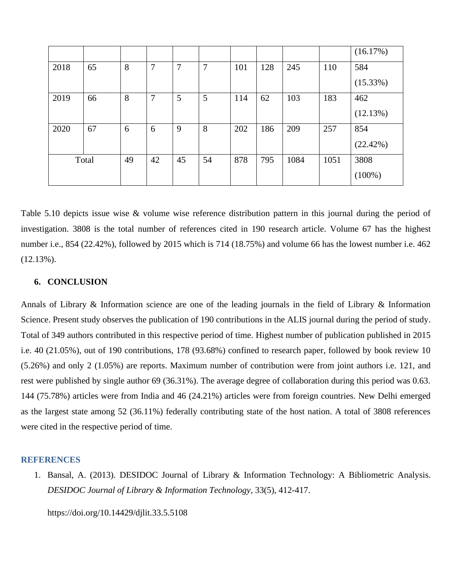|      |       |    |    |    |    |     |     |      |      | (16.17%)  |
|------|-------|----|----|----|----|-----|-----|------|------|-----------|
| 2018 | 65    | 8  | 7  | 7  | 7  | 101 | 128 | 245  | 110  | 584       |
|      |       |    |    |    |    |     |     |      |      | (15.33%)  |
| 2019 | 66    | 8  | 7  | 5  | 5  | 114 | 62  | 103  | 183  | 462       |
|      |       |    |    |    |    |     |     |      |      | (12.13%)  |
| 2020 | 67    | 6  | 6  | 9  | 8  | 202 | 186 | 209  | 257  | 854       |
|      |       |    |    |    |    |     |     |      |      | (22.42%)  |
|      | Total | 49 | 42 | 45 | 54 | 878 | 795 | 1084 | 1051 | 3808      |
|      |       |    |    |    |    |     |     |      |      | $(100\%)$ |

Table 5.10 depicts issue wise & volume wise reference distribution pattern in this journal during the period of investigation. 3808 is the total number of references cited in 190 research article. Volume 67 has the highest number i.e., 854 (22.42%), followed by 2015 which is 714 (18.75%) and volume 66 has the lowest number i.e. 462 (12.13%).

#### **6. CONCLUSION**

Annals of Library & Information science are one of the leading journals in the field of Library & Information Science. Present study observes the publication of 190 contributions in the ALIS journal during the period of study. Total of 349 authors contributed in this respective period of time. Highest number of publication published in 2015 i.e. 40 (21.05%), out of 190 contributions, 178 (93.68%) confined to research paper, followed by book review 10 (5.26%) and only 2 (1.05%) are reports. Maximum number of contribution were from joint authors i.e. 121, and rest were published by single author 69 (36.31%). The average degree of collaboration during this period was 0.63. 144 (75.78%) articles were from India and 46 (24.21%) articles were from foreign countries. New Delhi emerged as the largest state among 52 (36.11%) federally contributing state of the host nation. A total of 3808 references were cited in the respective period of time.

#### **REFERENCES**

1. Bansal, A. (2013). DESIDOC Journal of Library & Information Technology: A Bibliometric Analysis. *DESIDOC Journal of Library & Information Technology*, 33(5), 412-417.

https://doi.org/10.14429/djlit.33.5.5108